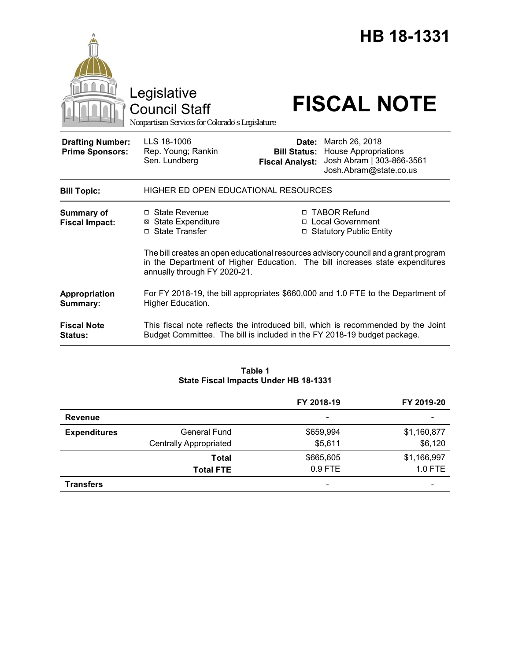|                                                   | Legislative<br><b>Council Staff</b>                                                                                                                                                                 |                                                        | HB 18-1331<br><b>FISCAL NOTE</b>                                                                     |  |
|---------------------------------------------------|-----------------------------------------------------------------------------------------------------------------------------------------------------------------------------------------------------|--------------------------------------------------------|------------------------------------------------------------------------------------------------------|--|
| <b>Drafting Number:</b><br><b>Prime Sponsors:</b> | Nonpartisan Services for Colorado's Legislature<br>LLS 18-1006<br>Rep. Young; Rankin<br>Sen. Lundberg                                                                                               | Date:<br><b>Bill Status:</b><br><b>Fiscal Analyst:</b> | March 26, 2018<br><b>House Appropriations</b><br>Josh Abram   303-866-3561<br>Josh.Abram@state.co.us |  |
| <b>Bill Topic:</b>                                | HIGHER ED OPEN EDUCATIONAL RESOURCES                                                                                                                                                                |                                                        |                                                                                                      |  |
| Summary of<br><b>Fiscal Impact:</b>               | $\Box$ State Revenue<br><b>State Expenditure</b><br>⊠<br>$\Box$ State Transfer                                                                                                                      |                                                        | □ TABOR Refund<br>□ Local Government<br>□ Statutory Public Entity                                    |  |
|                                                   | The bill creates an open educational resources advisory council and a grant program<br>in the Department of Higher Education. The bill increases state expenditures<br>annually through FY 2020-21. |                                                        |                                                                                                      |  |
| Appropriation<br>Summary:                         | For FY 2018-19, the bill appropriates \$660,000 and 1.0 FTE to the Department of<br>Higher Education.                                                                                               |                                                        |                                                                                                      |  |
| <b>Fiscal Note</b><br><b>Status:</b>              | This fiscal note reflects the introduced bill, which is recommended by the Joint<br>Budget Committee. The bill is included in the FY 2018-19 budget package.                                        |                                                        |                                                                                                      |  |

## **Table 1 State Fiscal Impacts Under HB 18-1331**

|                     |                               | FY 2018-19               | FY 2019-20               |
|---------------------|-------------------------------|--------------------------|--------------------------|
| <b>Revenue</b>      |                               | $\overline{\phantom{a}}$ |                          |
| <b>Expenditures</b> | <b>General Fund</b>           | \$659,994                | \$1,160,877              |
|                     | <b>Centrally Appropriated</b> | \$5,611                  | \$6,120                  |
|                     | Total                         | \$665,605                | \$1,166,997              |
|                     | <b>Total FTE</b>              | $0.9$ FTE                | 1.0 FTE                  |
| <b>Transfers</b>    |                               | $\overline{\phantom{a}}$ | $\overline{\phantom{0}}$ |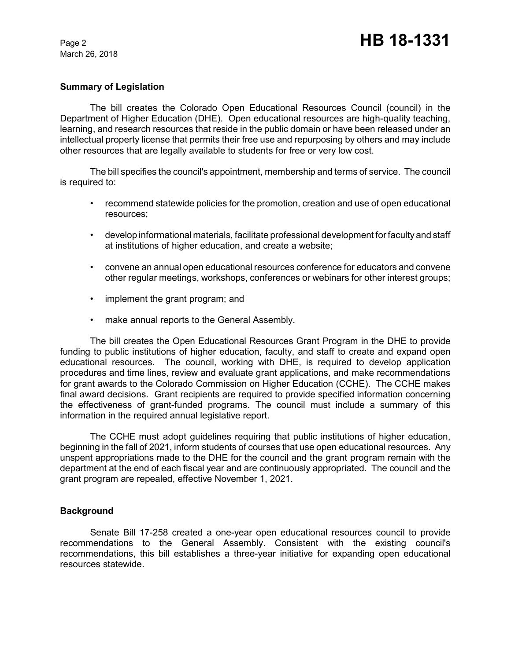March 26, 2018

## **Summary of Legislation**

The bill creates the Colorado Open Educational Resources Council (council) in the Department of Higher Education (DHE). Open educational resources are high-quality teaching, learning, and research resources that reside in the public domain or have been released under an intellectual property license that permits their free use and repurposing by others and may include other resources that are legally available to students for free or very low cost.

The bill specifies the council's appointment, membership and terms of service. The council is required to:

- recommend statewide policies for the promotion, creation and use of open educational resources;
- develop informational materials, facilitate professional development for faculty and staff at institutions of higher education, and create a website;
- convene an annual open educational resources conference for educators and convene other regular meetings, workshops, conferences or webinars for other interest groups;
- implement the grant program; and
- make annual reports to the General Assembly.

The bill creates the Open Educational Resources Grant Program in the DHE to provide funding to public institutions of higher education, faculty, and staff to create and expand open educational resources. The council, working with DHE, is required to develop application procedures and time lines, review and evaluate grant applications, and make recommendations for grant awards to the Colorado Commission on Higher Education (CCHE). The CCHE makes final award decisions. Grant recipients are required to provide specified information concerning the effectiveness of grant-funded programs. The council must include a summary of this information in the required annual legislative report.

The CCHE must adopt guidelines requiring that public institutions of higher education, beginning in the fall of 2021, inform students of courses that use open educational resources. Any unspent appropriations made to the DHE for the council and the grant program remain with the department at the end of each fiscal year and are continuously appropriated. The council and the grant program are repealed, effective November 1, 2021.

## **Background**

Senate Bill 17-258 created a one-year open educational resources council to provide recommendations to the General Assembly. Consistent with the existing council's recommendations, this bill establishes a three-year initiative for expanding open educational resources statewide.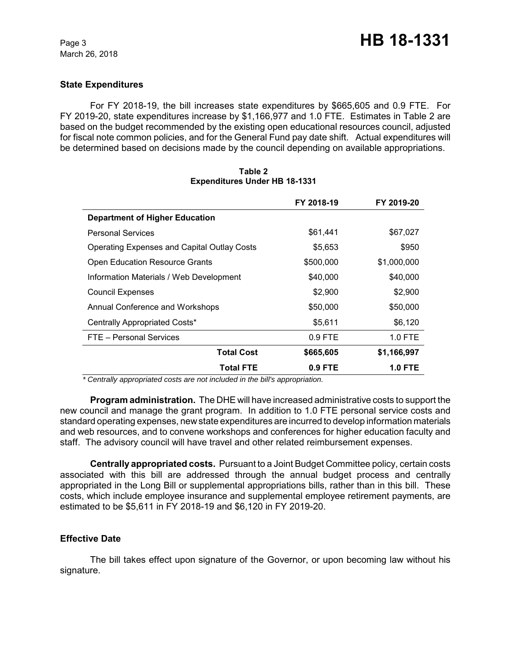March 26, 2018

## **State Expenditures**

For FY 2018-19, the bill increases state expenditures by \$665,605 and 0.9 FTE. For FY 2019-20, state expenditures increase by \$1,166,977 and 1.0 FTE. Estimates in Table 2 are based on the budget recommended by the existing open educational resources council, adjusted for fiscal note common policies, and for the General Fund pay date shift. Actual expenditures will be determined based on decisions made by the council depending on available appropriations.

|                                                    | FY 2018-19 | FY 2019-20     |
|----------------------------------------------------|------------|----------------|
| <b>Department of Higher Education</b>              |            |                |
| <b>Personal Services</b>                           | \$61,441   | \$67,027       |
| <b>Operating Expenses and Capital Outlay Costs</b> | \$5,653    | \$950          |
| <b>Open Education Resource Grants</b>              | \$500,000  | \$1,000,000    |
| Information Materials / Web Development            | \$40,000   | \$40,000       |
| <b>Council Expenses</b>                            | \$2,900    | \$2,900        |
| Annual Conference and Workshops                    | \$50,000   | \$50,000       |
| Centrally Appropriated Costs*                      | \$5,611    | \$6,120        |
| FTE - Personal Services                            | $0.9$ FTE  | $1.0$ FTE      |
| <b>Total Cost</b>                                  | \$665,605  | \$1,166,997    |
| <b>Total FTE</b>                                   | $0.9$ FTE  | <b>1.0 FTE</b> |

## **Table 2 Expenditures Under HB 18-1331**

 *\* Centrally appropriated costs are not included in the bill's appropriation.*

**Program administration.** The DHE will have increased administrative costs to support the new council and manage the grant program. In addition to 1.0 FTE personal service costs and standard operating expenses, new state expenditures are incurred to develop information materials and web resources, and to convene workshops and conferences for higher education faculty and staff. The advisory council will have travel and other related reimbursement expenses.

**Centrally appropriated costs.** Pursuant to a Joint Budget Committee policy, certain costs associated with this bill are addressed through the annual budget process and centrally appropriated in the Long Bill or supplemental appropriations bills, rather than in this bill. These costs, which include employee insurance and supplemental employee retirement payments, are estimated to be \$5,611 in FY 2018-19 and \$6,120 in FY 2019-20.

### **Effective Date**

The bill takes effect upon signature of the Governor, or upon becoming law without his signature.